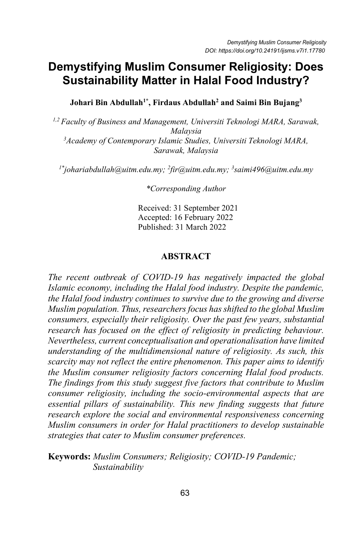# **Demystifying Muslim Consumer Religiosity: Does Sustainability Matter in Halal Food Industry?**

**Johari Bin Abdullah1\* , Firdaus Abdullah2 and Saimi Bin Bujang3**

*1,2 Faculty of Business and Management, Universiti Teknologi MARA, Sarawak, Malaysia 3 Academy of Contemporary Islamic Studies, Universiti Teknologi MARA, Sarawak, Malaysia*

*1\* johariabdullah@uitm.edu.my; 2 fir@uitm.edu.my; <sup>3</sup> saimi496@uitm.edu.my*

*\*Corresponding Author*

Received: 31 September 2021 Accepted: 16 February 2022 Published: 31 March 2022

### **ABSTRACT**

*The recent outbreak of COVID-19 has negatively impacted the global Islamic economy, including the Halal food industry. Despite the pandemic, the Halal food industry continues to survive due to the growing and diverse Muslim population. Thus, researchers focus has shifted to the global Muslim consumers, especially their religiosity. Over the past few years, substantial research has focused on the effect of religiosity in predicting behaviour. Nevertheless, current conceptualisation and operationalisation have limited understanding of the multidimensional nature of religiosity. As such, this scarcity may not reflect the entire phenomenon. This paper aims to identify the Muslim consumer religiosity factors concerning Halal food products. The findings from this study suggest five factors that contribute to Muslim consumer religiosity, including the socio-environmental aspects that are essential pillars of sustainability. This new finding suggests that future research explore the social and environmental responsiveness concerning Muslim consumers in order for Halal practitioners to develop sustainable strategies that cater to Muslim consumer preferences.* 

### **Keywords:** *Muslim Consumers; Religiosity; COVID-19 Pandemic; Sustainability*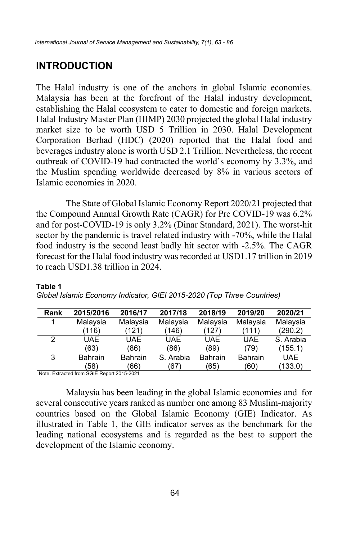## **INTRODUCTION**

The Halal industry is one of the anchors in global Islamic economies. Malaysia has been at the forefront of the Halal industry development, establishing the Halal ecosystem to cater to domestic and foreign markets. Halal Industry Master Plan (HIMP) 2030 projected the global Halal industry market size to be worth USD 5 Trillion in 2030. Halal Development Corporation Berhad (HDC) (2020) reported that the Halal food and beverages industry alone is worth USD 2.1 Trillion. Nevertheless, the recent outbreak of COVID-19 had contracted the world's economy by 3.3%, and the Muslim spending worldwide decreased by 8% in various sectors of Islamic economies in 2020.

The State of Global Islamic Economy Report 2020/21 projected that the Compound Annual Growth Rate (CAGR) for Pre COVID-19 was 6.2% and for post-COVID-19 is only 3.2% (Dinar Standard, 2021). The worst-hit sector by the pandemic is travel related industry with -70%, while the Halal food industry is the second least badly hit sector with -2.5%. The CAGR forecast for the Halal food industry was recorded at USD1.17 trillion in 2019 to reach USD1.38 trillion in 2024.

| Rank | 2015/2016      | 2016/17        | 2017/18    | 2018/19        | 2019/20        | 2020/21    |
|------|----------------|----------------|------------|----------------|----------------|------------|
|      | Malaysia       | Malaysia       | Malaysia   | Malaysia       | Malaysia       | Malaysia   |
|      | (116)          | (121)          | (146)      | (127)          | (111)          | (290.2)    |
| 2    | <b>UAE</b>     | <b>UAE</b>     | <b>UAE</b> | <b>UAE</b>     | <b>UAE</b>     | S. Arabia  |
|      | (63)           | (86)           | (86)       | (89)           | (79)           | (155.1)    |
| 3    | <b>Bahrain</b> | <b>Bahrain</b> | S. Arabia  | <b>Bahrain</b> | <b>Bahrain</b> | <b>UAE</b> |
|      | (58            | (66)           | (67)       | (65)           | (60)           | (133.0)    |
|      |                |                |            |                |                |            |

#### **Table 1**

*Global Islamic Economy Indicator, GIEI 2015-2020 (Top Three Countries)*

Note. Extracted from SGIE Report 2015-2021

Malaysia has been leading in the global Islamic economies and for several consecutive years ranked as number one among 83 Muslim-majority countries based on the Global Islamic Economy (GIE) Indicator. As illustrated in Table 1, the GIE indicator serves as the benchmark for the leading national ecosystems and is regarded as the best to support the development of the Islamic economy.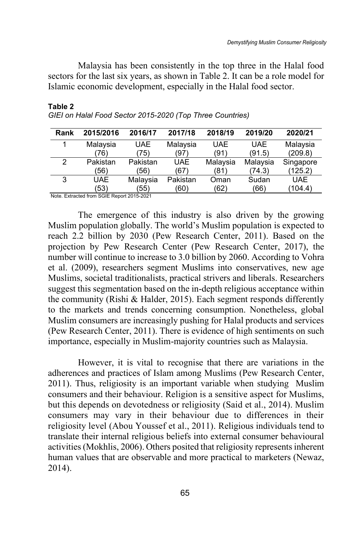Malaysia has been consistently in the top three in the Halal food sectors for the last six years, as shown in Table 2. It can be a role model for Islamic economic development, especially in the Halal food sector.

| Rank | 2015/2016  | 2016/17    | 2017/18    | 2018/19    | 2019/20    | 2020/21    |
|------|------------|------------|------------|------------|------------|------------|
|      | Malaysia   | <b>UAE</b> | Malaysia   | <b>UAE</b> | <b>UAE</b> | Malaysia   |
|      | 76)        | 75)        | (97)       | (91)       | (91.5)     | (209.8)    |
| 2    | Pakistan   | Pakistan   | <b>UAE</b> | Malaysia   | Malaysia   | Singapore  |
|      | '56)       | (56)       | (67)       | (81)       | (74.3)     | (125.2)    |
| 3    | <b>UAE</b> | Malaysia   | Pakistan   | Oman       | Sudan      | <b>UAE</b> |
|      | (53)       | (55)       | (60)       | (62)       | (66)       | (104.4)    |

#### **Table 2** *GIEI on Halal Food Sector 2015-2020 (Top Three Countries)*

Note. Extracted from SGIE Report 2015-2021

The emergence of this industry is also driven by the growing Muslim population globally. The world's Muslim population is expected to reach 2.2 billion by 2030 (Pew Research Center, 2011). Based on the projection by Pew Research Center (Pew Research Center, 2017), the number will continue to increase to 3.0 billion by 2060. According to Vohra et al. (2009), researchers segment Muslims into conservatives, new age Muslims, societal traditionalists, practical strivers and liberals. Researchers suggest this segmentation based on the in-depth religious acceptance within the community (Rishi & Halder, 2015). Each segment responds differently to the markets and trends concerning consumption. Nonetheless, global Muslim consumers are increasingly pushing for Halal products and services (Pew Research Center, 2011). There is evidence of high sentiments on such importance, especially in Muslim-majority countries such as Malaysia.

However, it is vital to recognise that there are variations in the adherences and practices of Islam among Muslims (Pew Research Center, 2011). Thus, religiosity is an important variable when studying Muslim consumers and their behaviour. Religion is a sensitive aspect for Muslims, but this depends on devotedness or religiosity (Said et al., 2014). Muslim consumers may vary in their behaviour due to differences in their religiosity level (Abou Youssef et al., 2011). Religious individuals tend to translate their internal religious beliefs into external consumer behavioural activities (Mokhlis, 2006). Others posited that religiosity represents inherent human values that are observable and more practical to marketers (Newaz, 2014).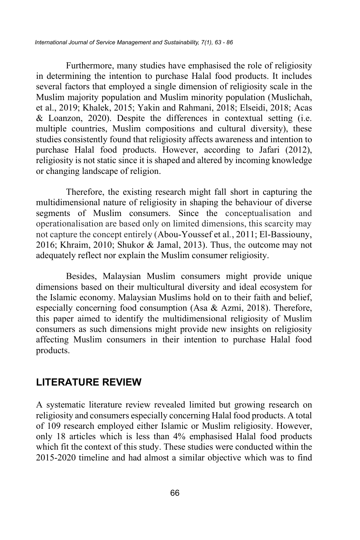Furthermore, many studies have emphasised the role of religiosity in determining the intention to purchase Halal food products. It includes several factors that employed a single dimension of religiosity scale in the Muslim majority population and Muslim minority population (Muslichah, et al., 2019; Khalek, 2015; Yakin and Rahmani, 2018; Elseidi, 2018; Acas & Loanzon, 2020). Despite the differences in contextual setting (i.e. multiple countries, Muslim compositions and cultural diversity), these studies consistently found that religiosity affects awareness and intention to purchase Halal food products. However, according to Jafari (2012), religiosity is not static since it is shaped and altered by incoming knowledge or changing landscape of religion.

Therefore, the existing research might fall short in capturing the multidimensional nature of religiosity in shaping the behaviour of diverse segments of Muslim consumers. Since the conceptualisation and operationalisation are based only on limited dimensions, this scarcity may not capture the concept entirely (Abou-Youssef et al*.*, 2011; El-Bassiouny, 2016; Khraim, 2010; Shukor & Jamal, 2013). Thus, the outcome may not adequately reflect nor explain the Muslim consumer religiosity.

Besides, Malaysian Muslim consumers might provide unique dimensions based on their multicultural diversity and ideal ecosystem for the Islamic economy. Malaysian Muslims hold on to their faith and belief, especially concerning food consumption (Asa & Azmi, 2018). Therefore, this paper aimed to identify the multidimensional religiosity of Muslim consumers as such dimensions might provide new insights on religiosity affecting Muslim consumers in their intention to purchase Halal food products.

## **LITERATURE REVIEW**

A systematic literature review revealed limited but growing research on religiosity and consumers especially concerning Halal food products. A total of 109 research employed either Islamic or Muslim religiosity. However, only 18 articles which is less than 4% emphasised Halal food products which fit the context of this study. These studies were conducted within the 2015-2020 timeline and had almost a similar objective which was to find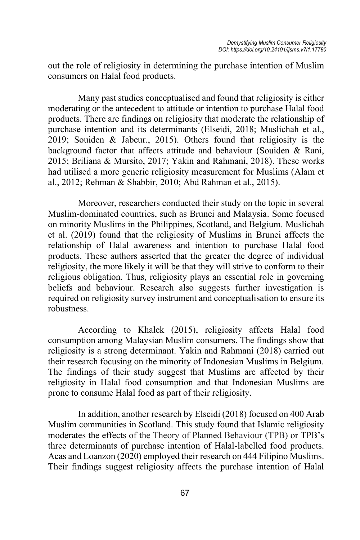out the role of religiosity in determining the purchase intention of Muslim consumers on Halal food products.

Many past studies conceptualised and found that religiosity is either moderating or the antecedent to attitude or intention to purchase Halal food products. There are findings on religiosity that moderate the relationship of purchase intention and its determinants (Elseidi, 2018; Muslichah et al., 2019; Souiden & Jabeur., 2015). Others found that religiosity is the background factor that affects attitude and behaviour (Souiden & Rani, 2015; Briliana & Mursito, 2017; Yakin and Rahmani, 2018). These works had utilised a more generic religiosity measurement for Muslims (Alam et al., 2012; Rehman & Shabbir, 2010; Abd Rahman et al., 2015).

Moreover, researchers conducted their study on the topic in several Muslim-dominated countries, such as Brunei and Malaysia. Some focused on minority Muslims in the Philippines, Scotland, and Belgium. Muslichah et al. (2019) found that the religiosity of Muslims in Brunei affects the relationship of Halal awareness and intention to purchase Halal food products. These authors asserted that the greater the degree of individual religiosity, the more likely it will be that they will strive to conform to their religious obligation. Thus, religiosity plays an essential role in governing beliefs and behaviour. Research also suggests further investigation is required on religiosity survey instrument and conceptualisation to ensure its robustness.

According to Khalek (2015), religiosity affects Halal food consumption among Malaysian Muslim consumers. The findings show that religiosity is a strong determinant. Yakin and Rahmani (2018) carried out their research focusing on the minority of Indonesian Muslims in Belgium. The findings of their study suggest that Muslims are affected by their religiosity in Halal food consumption and that Indonesian Muslims are prone to consume Halal food as part of their religiosity.

In addition, another research by Elseidi (2018) focused on 400 Arab Muslim communities in Scotland. This study found that Islamic religiosity moderates the effects of the Theory of Planned Behaviour (TPB) or TPB's three determinants of purchase intention of Halal-labelled food products. Acas and Loanzon (2020) employed their research on 444 Filipino Muslims. Their findings suggest religiosity affects the purchase intention of Halal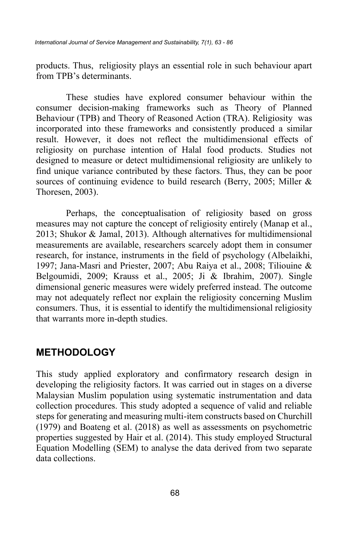products. Thus, religiosity plays an essential role in such behaviour apart from TPB's determinants.

These studies have explored consumer behaviour within the consumer decision-making frameworks such as Theory of Planned Behaviour (TPB) and Theory of Reasoned Action (TRA). Religiosity was incorporated into these frameworks and consistently produced a similar result. However, it does not reflect the multidimensional effects of religiosity on purchase intention of Halal food products. Studies not designed to measure or detect multidimensional religiosity are unlikely to find unique variance contributed by these factors. Thus, they can be poor sources of continuing evidence to build research (Berry, 2005; Miller & Thoresen, 2003).

Perhaps, the conceptualisation of religiosity based on gross measures may not capture the concept of religiosity entirely (Manap et al., 2013; Shukor & Jamal, 2013). Although alternatives for multidimensional measurements are available, researchers scarcely adopt them in consumer research, for instance, instruments in the field of psychology (Albelaikhi, 1997; Jana-Masri and Priester, 2007; Abu Raiya et al., 2008; Tiliouine & Belgoumidi, 2009; Krauss et al., 2005; Ji & Ibrahim, 2007). Single dimensional generic measures were widely preferred instead. The outcome may not adequately reflect nor explain the religiosity concerning Muslim consumers. Thus, it is essential to identify the multidimensional religiosity that warrants more in-depth studies.

## **METHODOLOGY**

This study applied exploratory and confirmatory research design in developing the religiosity factors. It was carried out in stages on a diverse Malaysian Muslim population using systematic instrumentation and data collection procedures. This study adopted a sequence of valid and reliable steps for generating and measuring multi-item constructs based on Churchill (1979) and Boateng et al. (2018) as well as assessments on psychometric properties suggested by Hair et al. (2014). This study employed Structural Equation Modelling (SEM) to analyse the data derived from two separate data collections.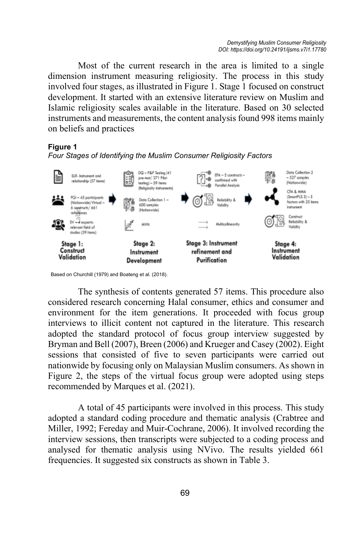Most of the current research in the area is limited to a single dimension instrument measuring religiosity. The process in this study involved four stages, as illustrated in Figure 1. Stage 1 focused on construct development. It started with an extensive literature review on Muslim and Islamic religiosity scales available in the literature. Based on 30 selected instruments and measurements, the content analysis found 998 items mainly on beliefs and practices

### **Figure 1**

*Four Stages of Identifying the Muslim Consumer Religiosity Factors* 



Based on Churchill (1979) and Boateng et al. (2018).

The synthesis of contents generated 57 items. This procedure also considered research concerning Halal consumer, ethics and consumer and environment for the item generations. It proceeded with focus group interviews to illicit content not captured in the literature. This research adopted the standard protocol of focus group interview suggested by Bryman and Bell (2007), Breen (2006) and Krueger and Casey (2002). Eight sessions that consisted of five to seven participants were carried out nationwide by focusing only on Malaysian Muslim consumers. As shown in Figure 2, the steps of the virtual focus group were adopted using steps recommended by Marques et al. (2021).

A total of 45 participants were involved in this process. This study adopted a standard coding procedure and thematic analysis (Crabtree and Miller, 1992; Fereday and Muir-Cochrane, 2006). It involved recording the interview sessions, then transcripts were subjected to a coding process and analysed for thematic analysis using NVivo. The results yielded 661 frequencies. It suggested six constructs as shown in Table 3.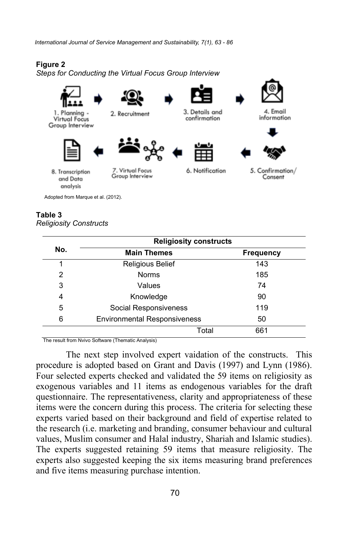*International Journal of Service Management and Sustainability, 7(1), 63 - 86*

### **Figure 2**

*Steps for Conducting the Virtual Focus Group Interview*



1. Planning Virtual Focus Group Interview





2. Recruitment



3. Details and

confirmation



4. Email

information



5. Confirmation/ Consent

and Data analysis

8. Transcription

Adopted from Marque et al. (2012).

7. Virtual Focus Group Interview

6. Notification

#### **Table 3** *Religiosity Constructs*

|     | <b>Religiosity constructs</b>       |                  |  |  |  |  |
|-----|-------------------------------------|------------------|--|--|--|--|
| No. | <b>Main Themes</b>                  | <b>Frequency</b> |  |  |  |  |
|     | <b>Religious Belief</b>             | 143              |  |  |  |  |
| 2   | <b>Norms</b>                        | 185              |  |  |  |  |
| 3   | Values                              | 74               |  |  |  |  |
| 4   | Knowledge                           | 90               |  |  |  |  |
| 5   | Social Responsiveness               | 119              |  |  |  |  |
| 6   | <b>Environmental Responsiveness</b> | 50               |  |  |  |  |
|     | Total                               | 661              |  |  |  |  |

The result from Nvivo Software (Thematic Analysis)

The next step involved expert vaidation of the constructs. This procedure is adopted based on Grant and Davis (1997) and Lynn (1986). Four selected experts checked and validated the 59 items on religiosity as exogenous variables and 11 items as endogenous variables for the draft questionnaire. The representativeness, clarity and appropriateness of these items were the concern during this process. The criteria for selecting these experts varied based on their background and field of expertise related to the research (i.e. marketing and branding, consumer behaviour and cultural values, Muslim consumer and Halal industry, Shariah and Islamic studies). The experts suggested retaining 59 items that measure religiosity. The experts also suggested keeping the six items measuring brand preferences and five items measuring purchase intention.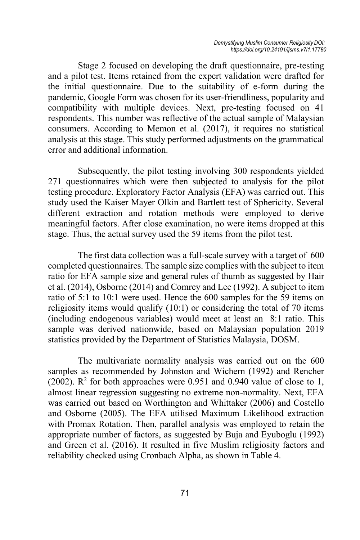Stage 2 focused on developing the draft questionnaire, pre-testing and a pilot test. Items retained from the expert validation were drafted for the initial questionnaire. Due to the suitability of e-form during the pandemic, Google Form was chosen for its user-friendliness, popularity and compatibility with multiple devices. Next, pre-testing focused on 41 respondents. This number was reflective of the actual sample of Malaysian consumers. According to Memon et al. (2017), it requires no statistical analysis at this stage. This study performed adjustments on the grammatical error and additional information.

Subsequently, the pilot testing involving 300 respondents yielded 271 questionnaires which were then subjected to analysis for the pilot testing procedure. Exploratory Factor Analysis (EFA) was carried out. This study used the Kaiser Mayer Olkin and Bartlett test of Sphericity. Several different extraction and rotation methods were employed to derive meaningful factors. After close examination, no were items dropped at this stage. Thus, the actual survey used the 59 items from the pilot test.

The first data collection was a full-scale survey with a target of 600 completed questionnaires. The sample size complies with the subject to item ratio for EFA sample size and general rules of thumb as suggested by Hair et al. (2014), Osborne (2014) and Comrey and Lee (1992). A subject to item ratio of 5:1 to 10:1 were used. Hence the 600 samples for the 59 items on religiosity items would qualify (10:1) or considering the total of 70 items (including endogenous variables) would meet at least an 8:1 ratio. This sample was derived nationwide, based on Malaysian population 2019 statistics provided by the Department of Statistics Malaysia, DOSM.

The multivariate normality analysis was carried out on the 600 samples as recommended by Johnston and Wichern (1992) and Rencher (2002).  $\mathbb{R}^2$  for both approaches were 0.951 and 0.940 value of close to 1, almost linear regression suggesting no extreme non-normality. Next, EFA was carried out based on Worthington and Whittaker (2006) and Costello and Osborne (2005). The EFA utilised Maximum Likelihood extraction with Promax Rotation. Then, parallel analysis was employed to retain the appropriate number of factors, as suggested by Buja and Eyuboglu (1992) and Green et al. (2016). It resulted in five Muslim religiosity factors and reliability checked using Cronbach Alpha, as shown in Table 4.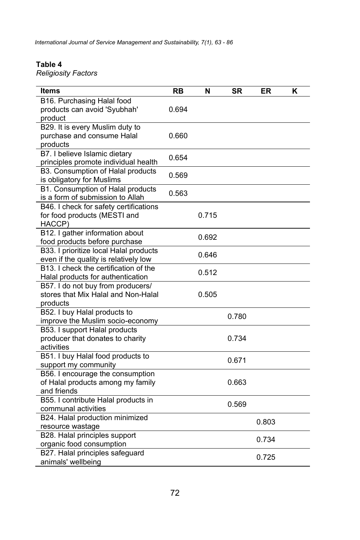*International Journal of Service Management and Sustainability, 7(1), 63 - 86*

### **Table 4**

*Religiosity Factors* 

| Items                                                                                | RB    | N     | SR    | ER    | Κ |
|--------------------------------------------------------------------------------------|-------|-------|-------|-------|---|
| B16. Purchasing Halal food<br>products can avoid 'Syubhah'<br>product                | 0.694 |       |       |       |   |
| B29. It is every Muslim duty to<br>purchase and consume Halal<br>products            | 0.660 |       |       |       |   |
| B7. I believe Islamic dietary<br>principles promote individual health                | 0.654 |       |       |       |   |
| B3. Consumption of Halal products<br>is obligatory for Muslims                       | 0.569 |       |       |       |   |
| B1. Consumption of Halal products<br>is a form of submission to Allah                | 0.563 |       |       |       |   |
| B46. I check for safety certifications<br>for food products (MESTI and<br>HACCP)     |       | 0.715 |       |       |   |
| B12. I gather information about<br>food products before purchase                     |       | 0.692 |       |       |   |
| B33. I prioritize local Halal products<br>even if the quality is relatively low      |       | 0.646 |       |       |   |
| B13. I check the certification of the<br>Halal products for authentication           |       | 0.512 |       |       |   |
| B57. I do not buy from producers/<br>stores that Mix Halal and Non-Halal<br>products |       | 0.505 |       |       |   |
| B52. I buy Halal products to<br>improve the Muslim socio-economy                     |       |       | 0.780 |       |   |
| B53. I support Halal products<br>producer that donates to charity<br>activities      |       |       | 0.734 |       |   |
| B51. I buy Halal food products to<br>support my community                            |       |       | 0.671 |       |   |
| B56. I encourage the consumption<br>of Halal products among my family<br>and friends |       |       | 0.663 |       |   |
| B55. I contribute Halal products in<br>communal activities                           |       |       | 0.569 |       |   |
| B24. Halal production minimized<br>resource wastage                                  |       |       |       | 0.803 |   |
| B28. Halal principles support<br>organic food consumption                            |       |       |       | 0.734 |   |
| B27. Halal principles safeguard<br>animals' wellbeing                                |       |       |       | 0.725 |   |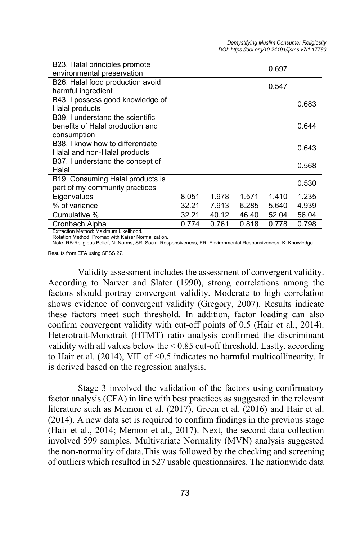| B23. Halal principles promote                                                               |       |       |       |       | 0.697 |  |  |
|---------------------------------------------------------------------------------------------|-------|-------|-------|-------|-------|--|--|
| environmental preservation                                                                  |       |       |       |       |       |  |  |
| B26. Halal food production avoid                                                            |       |       |       | 0.547 |       |  |  |
| harmful ingredient                                                                          |       |       |       |       |       |  |  |
| B43. I possess good knowledge of                                                            |       |       |       |       | 0.683 |  |  |
| Halal products                                                                              |       |       |       |       |       |  |  |
| B39. I understand the scientific                                                            |       |       |       |       |       |  |  |
| benefits of Halal production and                                                            |       |       |       |       | 0.644 |  |  |
| consumption                                                                                 |       |       |       |       |       |  |  |
| B38. I know how to differentiate                                                            |       |       |       |       | 0.643 |  |  |
| Halal and non-Halal products                                                                |       |       |       |       |       |  |  |
| B37. I understand the concept of                                                            |       |       |       |       |       |  |  |
| Halal                                                                                       |       |       |       |       | 0.568 |  |  |
| B19. Consuming Halal products is                                                            |       |       |       |       |       |  |  |
| part of my community practices                                                              |       |       |       |       | 0.530 |  |  |
| Eigenvalues                                                                                 | 8.051 | 1.978 | 1.571 | 1.410 | 1.235 |  |  |
| % of variance                                                                               | 32.21 | 7.913 | 6.285 | 5.640 | 4.939 |  |  |
| Cumulative %                                                                                | 32.21 | 40.12 | 46.40 | 52.04 | 56.04 |  |  |
| Cronbach Alpha                                                                              | 0.774 | 0.761 | 0.818 | 0.778 | 0.798 |  |  |
| Extraction Method: Maximum Likelihood.<br>Rotation Method: Promax with Kaiser Normalization |       |       |       |       |       |  |  |

Rotation Method: Promax with Kaiser Normalization. Note. RB:Religious Belief, N: Norms, SR: Social Responsiveness, ER: Environmental Responsiveness, K: Knowledge.

Results from EFA using SPSS 27.

Validity assessment includes the assessment of convergent validity. According to Narver and Slater (1990), strong correlations among the factors should portray convergent validity. Moderate to high correlation shows evidence of convergent validity (Gregory, 2007). Results indicate these factors meet such threshold. In addition, factor loading can also confirm convergent validity with cut-off points of 0.5 (Hair et al., 2014). Heterotrait-Monotrait (HTMT) ratio analysis confirmed the discriminant validity with all values below the  $\leq 0.85$  cut-off threshold. Lastly, according to Hair et al. (2014), VIF of <0.5 indicates no harmful multicollinearity. It is derived based on the regression analysis.

Stage 3 involved the validation of the factors using confirmatory factor analysis (CFA) in line with best practices as suggested in the relevant literature such as Memon et al. (2017), Green et al. (2016) and Hair et al. (2014). A new data set is required to confirm findings in the previous stage (Hair et al., 2014; Memon et al., 2017). Next, the second data collection involved 599 samples. Multivariate Normality (MVN) analysis suggested the non-normality of data.This was followed by the checking and screening of outliers which resulted in 527 usable questionnaires. The nationwide data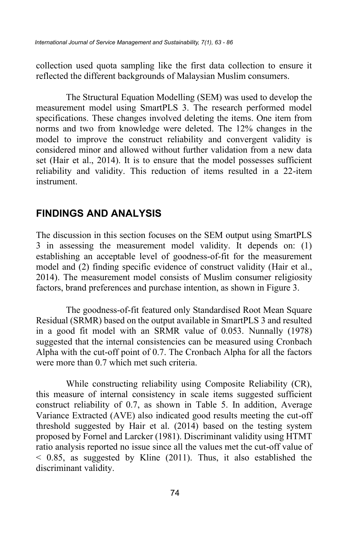collection used quota sampling like the first data collection to ensure it reflected the different backgrounds of Malaysian Muslim consumers.

The Structural Equation Modelling (SEM) was used to develop the measurement model using SmartPLS 3. The research performed model specifications. These changes involved deleting the items. One item from norms and two from knowledge were deleted. The 12% changes in the model to improve the construct reliability and convergent validity is considered minor and allowed without further validation from a new data set (Hair et al., 2014). It is to ensure that the model possesses sufficient reliability and validity. This reduction of items resulted in a 22-item instrument.

## **FINDINGS AND ANALYSIS**

The discussion in this section focuses on the SEM output using SmartPLS 3 in assessing the measurement model validity. It depends on: (1) establishing an acceptable level of goodness-of-fit for the measurement model and (2) finding specific evidence of construct validity (Hair et al., 2014). The measurement model consists of Muslim consumer religiosity factors, brand preferences and purchase intention, as shown in Figure 3.

The goodness-of-fit featured only Standardised Root Mean Square Residual (SRMR) based on the output available in SmartPLS 3 and resulted in a good fit model with an SRMR value of 0.053. Nunnally (1978) suggested that the internal consistencies can be measured using Cronbach Alpha with the cut-off point of 0.7. The Cronbach Alpha for all the factors were more than 0.7 which met such criteria.

While constructing reliability using Composite Reliability (CR), this measure of internal consistency in scale items suggested sufficient construct reliability of 0.7, as shown in Table 5. In addition, Average Variance Extracted (AVE) also indicated good results meeting the cut-off threshold suggested by Hair et al. (2014) based on the testing system proposed by Fornel and Larcker (1981). Discriminant validity using HTMT ratio analysis reported no issue since all the values met the cut-off value of  $\leq$  0.85, as suggested by Kline (2011). Thus, it also established the discriminant validity.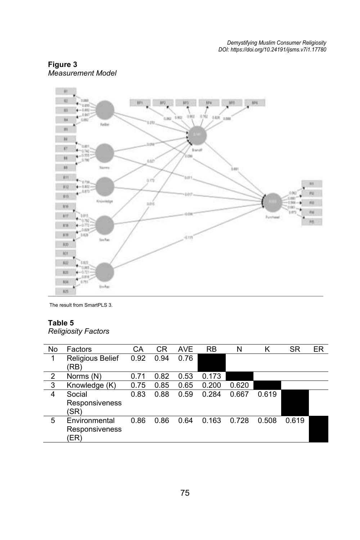



The result from SmartPLS 3.

### **Table 5**

*Religiosity Factors* 

| No             | Factors                                 | СA   | СR   | <b>AVE</b> | <b>RB</b> | N     | κ     | <b>SR</b> | ER |
|----------------|-----------------------------------------|------|------|------------|-----------|-------|-------|-----------|----|
|                | <b>Religious Belief</b><br>(RB)         | 0.92 | 0.94 | 0.76       |           |       |       |           |    |
| $\overline{2}$ | Norms (N)                               | 0.71 | 0.82 | 0.53       | 0.173     |       |       |           |    |
| $\mathbf{3}$   | Knowledge (K)                           | 0.75 | 0.85 | 0.65       | 0.200     | 0.620 |       |           |    |
| 4              | Social<br>Responsiveness<br>'SR)        | 0.83 | 0.88 | 0.59       | 0.284     | 0.667 | 0.619 |           |    |
| 5              | Environmental<br>Responsiveness<br>(ER) | 0.86 | 0.86 | 0.64       | 0.163     | 0.728 | 0.508 | 0.619     |    |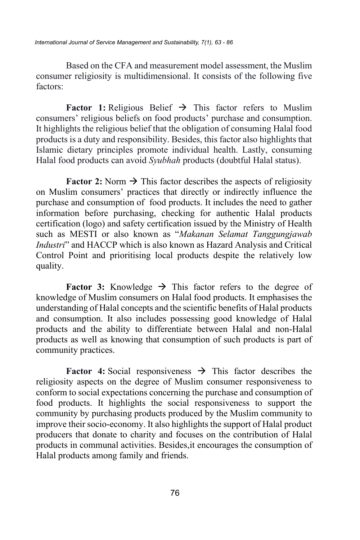Based on the CFA and measurement model assessment, the Muslim consumer religiosity is multidimensional. It consists of the following five factors:

**Factor 1:** Religious Belief  $\rightarrow$  This factor refers to Muslim consumers' religious beliefs on food products' purchase and consumption. It highlights the religious belief that the obligation of consuming Halal food products is a duty and responsibility. Besides, this factor also highlights that Islamic dietary principles promote individual health. Lastly, consuming Halal food products can avoid *Syubhah* products (doubtful Halal status).

**Factor 2:** Norm  $\rightarrow$  This factor describes the aspects of religiosity on Muslim consumers' practices that directly or indirectly influence the purchase and consumption of food products. It includes the need to gather information before purchasing, checking for authentic Halal products certification (logo) and safety certification issued by the Ministry of Health such as MESTI or also known as "*Makanan Selamat Tanggungjawab Industri*" and HACCP which is also known as Hazard Analysis and Critical Control Point and prioritising local products despite the relatively low quality.

**Factor 3:** Knowledge  $\rightarrow$  This factor refers to the degree of knowledge of Muslim consumers on Halal food products. It emphasises the understanding of Halal concepts and the scientific benefits of Halal products and consumption. It also includes possessing good knowledge of Halal products and the ability to differentiate between Halal and non-Halal products as well as knowing that consumption of such products is part of community practices.

**Factor 4:** Social responsiveness → This factor describes the religiosity aspects on the degree of Muslim consumer responsiveness to conform to social expectations concerning the purchase and consumption of food products. It highlights the social responsiveness to support the community by purchasing products produced by the Muslim community to improve their socio-economy. It also highlights the support of Halal product producers that donate to charity and focuses on the contribution of Halal products in communal activities. Besides,it encourages the consumption of Halal products among family and friends.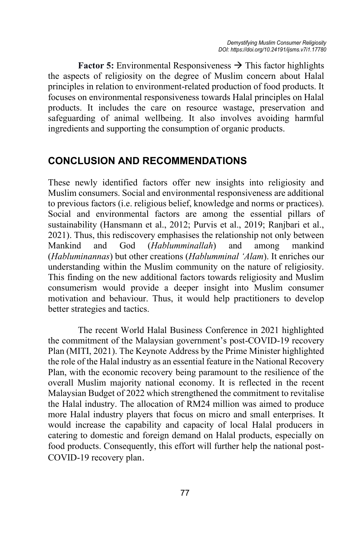**Factor 5:** Environmental Responsiveness  $\rightarrow$  This factor highlights the aspects of religiosity on the degree of Muslim concern about Halal principles in relation to environment-related production of food products. It focuses on environmental responsiveness towards Halal principles on Halal products. It includes the care on resource wastage, preservation and safeguarding of animal wellbeing. It also involves avoiding harmful ingredients and supporting the consumption of organic products.

# **CONCLUSION AND RECOMMENDATIONS**

These newly identified factors offer new insights into religiosity and Muslim consumers. Social and environmental responsiveness are additional to previous factors (i.e. religious belief, knowledge and norms or practices). Social and environmental factors are among the essential pillars of sustainability (Hansmann et al., 2012; Purvis et al., 2019; Ranjbari et al., 2021). Thus, this rediscovery emphasises the relationship not only between Mankind and God (*Hablumminallah*) and among mankind (*Habluminannas*) but other creations (*Hablumminal 'Alam*). It enriches our understanding within the Muslim community on the nature of religiosity. This finding on the new additional factors towards religiosity and Muslim consumerism would provide a deeper insight into Muslim consumer motivation and behaviour. Thus, it would help practitioners to develop better strategies and tactics.

The recent World Halal Business Conference in 2021 highlighted the commitment of the Malaysian government's post-COVID-19 recovery Plan (MITI, 2021). The Keynote Address by the Prime Minister highlighted the role of the Halal industry as an essential feature in the National Recovery Plan, with the economic recovery being paramount to the resilience of the overall Muslim majority national economy. It is reflected in the recent Malaysian Budget of 2022 which strengthened the commitment to revitalise the Halal industry. The allocation of RM24 million was aimed to produce more Halal industry players that focus on micro and small enterprises. It would increase the capability and capacity of local Halal producers in catering to domestic and foreign demand on Halal products, especially on food products. Consequently, this effort will further help the national post-COVID-19 recovery plan.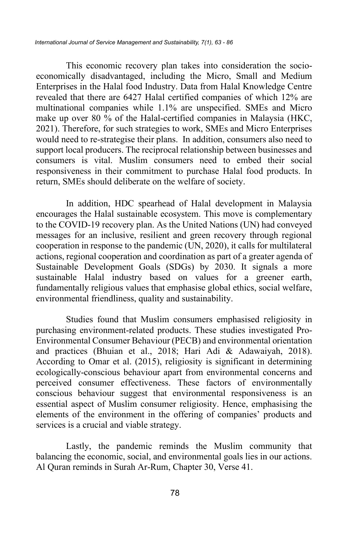This economic recovery plan takes into consideration the socioeconomically disadvantaged, including the Micro, Small and Medium Enterprises in the Halal food Industry. Data from Halal Knowledge Centre revealed that there are 6427 Halal certified companies of which 12% are multinational companies while 1.1% are unspecified. SMEs and Micro make up over 80 % of the Halal-certified companies in Malaysia (HKC, 2021). Therefore, for such strategies to work, SMEs and Micro Enterprises would need to re-strategise their plans. In addition, consumers also need to support local producers. The reciprocal relationship between businesses and consumers is vital. Muslim consumers need to embed their social responsiveness in their commitment to purchase Halal food products. In return, SMEs should deliberate on the welfare of society.

In addition, HDC spearhead of Halal development in Malaysia encourages the Halal sustainable ecosystem. This move is complementary to the COVID-19 recovery plan. As the United Nations (UN) had conveyed messages for an inclusive, resilient and green recovery through regional cooperation in response to the pandemic (UN, 2020), it calls for multilateral actions, regional cooperation and coordination as part of a greater agenda of Sustainable Development Goals (SDGs) by 2030. It signals a more sustainable Halal industry based on values for a greener earth, fundamentally religious values that emphasise global ethics, social welfare, environmental friendliness, quality and sustainability.

Studies found that Muslim consumers emphasised religiosity in purchasing environment-related products. These studies investigated Pro-Environmental Consumer Behaviour (PECB) and environmental orientation and practices (Bhuian et al., 2018; Hari Adi & Adawaiyah, 2018). According to Omar et al. (2015), religiosity is significant in determining ecologically-conscious behaviour apart from environmental concerns and perceived consumer effectiveness. These factors of environmentally conscious behaviour suggest that environmental responsiveness is an essential aspect of Muslim consumer religiosity. Hence, emphasising the elements of the environment in the offering of companies' products and services is a crucial and viable strategy.

Lastly, the pandemic reminds the Muslim community that balancing the economic, social, and environmental goals lies in our actions. Al Quran reminds in Surah Ar-Rum, Chapter 30, Verse 41.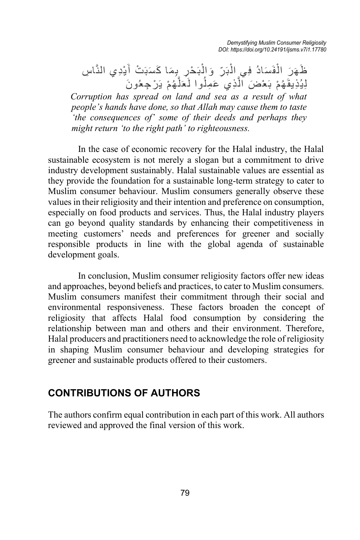*Demystifying Muslim Consumer Religiosity DOI: https://doi.org/10.24191/ijsms.v7i1.17780*

ظَهَرَ الْفَسَادُ فِي الْبَرِّ وَالْبَحْرِ بِمَا كَسَبَتْ أَيْدِي النَّاسِ<br>... لِيُذِيقَهُمْ بَعْضَ ٱلَّذِي عَمِلُوا لَعَلَّهُمْ يَرْجِعُونَ

*Corruption has spread on land and sea as a result of what people's hands have done, so that Allah may cause them to taste 'the consequences of' some of their deeds and perhaps they might return 'to the right path' to righteousness.* 

In the case of economic recovery for the Halal industry, the Halal sustainable ecosystem is not merely a slogan but a commitment to drive industry development sustainably. Halal sustainable values are essential as they provide the foundation for a sustainable long-term strategy to cater to Muslim consumer behaviour. Muslim consumers generally observe these values in their religiosity and their intention and preference on consumption, especially on food products and services. Thus, the Halal industry players can go beyond quality standards by enhancing their competitiveness in meeting customers' needs and preferences for greener and socially responsible products in line with the global agenda of sustainable development goals.

In conclusion, Muslim consumer religiosity factors offer new ideas and approaches, beyond beliefs and practices, to cater to Muslim consumers. Muslim consumers manifest their commitment through their social and environmental responsiveness. These factors broaden the concept of religiosity that affects Halal food consumption by considering the relationship between man and others and their environment. Therefore, Halal producers and practitioners need to acknowledge the role of religiosity in shaping Muslim consumer behaviour and developing strategies for greener and sustainable products offered to their customers.

## **CONTRIBUTIONS OF AUTHORS**

The authors confirm equal contribution in each part of this work. All authors reviewed and approved the final version of this work.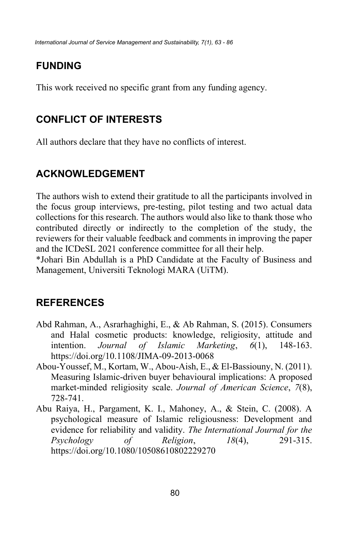# **FUNDING**

This work received no specific grant from any funding agency.

# **CONFLICT OF INTERESTS**

All authors declare that they have no conflicts of interest.

# **ACKNOWLEDGEMENT**

The authors wish to extend their gratitude to all the participants involved in the focus group interviews, pre-testing, pilot testing and two actual data collections for this research. The authors would also like to thank those who contributed directly or indirectly to the completion of the study, the reviewers for their valuable feedback and comments in improving the paper and the ICDeSL 2021 conference committee for all their help.

\*Johari Bin Abdullah is a PhD Candidate at the Faculty of Business and Management, Universiti Teknologi MARA (UiTM).

# **REFERENCES**

- Abd Rahman, A., Asrarhaghighi, E., & Ab Rahman, S. (2015). Consumers and Halal cosmetic products: knowledge, religiosity, attitude and intention. *Journal of Islamic Marketing*, *6*(1), 148-163. https://doi.org/10.1108/JIMA-09-2013-0068
- Abou-Youssef, M., Kortam, W., Abou-Aish, E., & El-Bassiouny, N. (2011). Measuring Islamic-driven buyer behavioural implications: A proposed market-minded religiosity scale. *Journal of American Science*, *7*(8), 728-741.
- Abu Raiya, H., Pargament, K. I., Mahoney, A., & Stein, C. (2008). A psychological measure of Islamic religiousness: Development and evidence for reliability and validity. *The International Journal for the Psychology of Religion*, *18*(4), 291-315. https://doi.org/10.1080/10508610802229270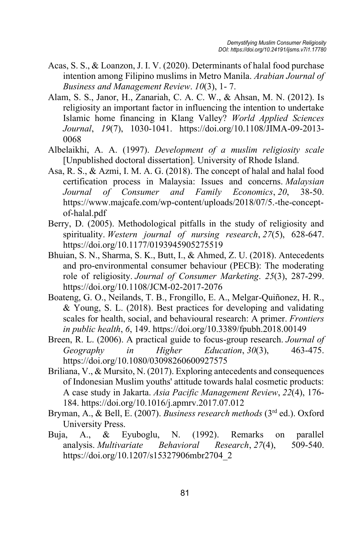- Acas, S. S., & Loanzon, J. I. V. (2020). Determinants of halal food purchase intention among Filipino muslims in Metro Manila. *Arabian Journal of Business and Management Review*. *10*(3), 1- 7.
- Alam, S. S., Janor, H., Zanariah, C. A. C. W., & Ahsan, M. N. (2012). Is religiosity an important factor in influencing the intention to undertake Islamic home financing in Klang Valley? *World Applied Sciences Journal*, *19*(7), 1030-1041. https://doi.org/10.1108/JIMA-09-2013- 0068
- Albelaikhi, A. A. (1997). *Development of a muslim religiosity scale* [Unpublished doctoral dissertation]. University of Rhode Island.
- Asa, R. S., & Azmi, I. M. A. G. (2018). The concept of halal and halal food certification process in Malaysia: Issues and concerns. *Malaysian Journal of Consumer and Family Economics*, *20*, 38-50. https://www.majcafe.com/wp-content/uploads/2018/07/5.-the-conceptof-halal.pdf
- Berry, D. (2005). Methodological pitfalls in the study of religiosity and spirituality. *Western journal of nursing research*, *27*(5), 628-647. https://doi.org/10.1177/0193945905275519
- Bhuian, S. N., Sharma, S. K., Butt, I., & Ahmed, Z. U. (2018). Antecedents and pro-environmental consumer behaviour (PECB): The moderating role of religiosity. *Journal of Consumer Marketing*. *25*(3), 287-299. https://doi.org/10.1108/JCM-02-2017-2076
- Boateng, G. O., Neilands, T. B., Frongillo, E. A., Melgar-Quiñonez, H. R., & Young, S. L. (2018). Best practices for developing and validating scales for health, social, and behavioural research: A primer. *Frontiers in public health*, *6*, 149. https://doi.org/10.3389/fpubh.2018.00149
- Breen, R. L. (2006). A practical guide to focus-group research. *Journal of Geography in Higher Education*, *30*(3), 463-475. https://doi.org/10.1080/03098260600927575
- Briliana, V., & Mursito, N. (2017). Exploring antecedents and consequences of Indonesian Muslim youths' attitude towards halal cosmetic products: A case study in Jakarta. *Asia Pacific Management Review*, *22*(4), 176- 184. https://doi.org/10.1016/j.apmrv.2017.07.012
- Bryman, A., & Bell, E. (2007). *Business research methods* (3rd ed.). Oxford University Press.
- Buja, A., & Eyuboglu, N. (1992). Remarks on parallel analysis. *Multivariate Behavioral Research*, *27*(4), 509-540. https://doi.org/10.1207/s15327906mbr2704\_2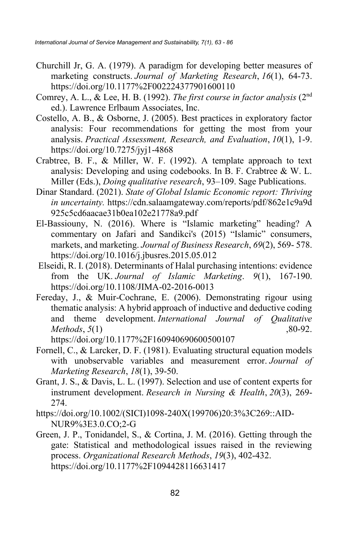- Churchill Jr, G. A. (1979). A paradigm for developing better measures of marketing constructs. *Journal of Marketing Research*, *16*(1), 64-73. https://doi.org/10.1177%2F002224377901600110
- Comrey, A. L., & Lee, H. B. (1992). *The first course in factor analysis* (2nd ed.). Lawrence Erlbaum Associates, Inc.
- Costello, A. B., & Osborne, J. (2005). Best practices in exploratory factor analysis: Four recommendations for getting the most from your analysis. *Practical Assessment, Research, and Evaluation*, *10*(1), 1-9. https://doi.org/10.7275/jyj1-4868
- Crabtree, B. F., & Miller, W. F. (1992). A template approach to text analysis: Developing and using codebooks. In B. F. Crabtree & W. L. Miller (Eds.), *Doing qualitative research*, 93–109. Sage Publications.
- Dinar Standard. (2021). *State of Global Islamic Economic report: Thriving in uncertainty.* https://cdn.salaamgateway.com/reports/pdf/862e1c9a9d 925c5cd6aacae31b0ea102e21778a9.pdf
- El-Bassiouny, N. (2016). Where is "Islamic marketing" heading? A commentary on Jafari and Sandikci's (2015) "Islamic" consumers, markets, and marketing. *Journal of Business Research*, *69*(2), 569- 578. https://doi.org/10.1016/j.jbusres.2015.05.012
- Elseidi, R. I. (2018). Determinants of Halal purchasing intentions: evidence from the UK. *Journal of Islamic Marketing*. *9*(1), 167-190. https://doi.org/10.1108/JIMA-02-2016-0013
- Fereday, J., & Muir-Cochrane, E. (2006). Demonstrating rigour using thematic analysis: A hybrid approach of inductive and deductive coding and theme development. *International Journal of Qualitative Methods*, *5*(1) 30-92. https://doi.org/10.1177%2F160940690600500107
- Fornell, C., & Larcker, D. F. (1981). Evaluating structural equation models
- with unobservable variables and measurement error. *Journal of Marketing Research*, *18*(1), 39-50.
- Grant, J. S., & Davis, L. L. (1997). Selection and use of content experts for instrument development. *Research in Nursing & Health*, *20*(3), 269- 274.
- https://doi.org/10.1002/(SICI)1098-240X(199706)20:3%3C269::AID-NUR9%3E3.0.CO;2-G
- Green, J. P., Tonidandel, S., & Cortina, J. M. (2016). Getting through the gate: Statistical and methodological issues raised in the reviewing process. *Organizational Research Methods*, *19*(3), 402-432. https://doi.org/10.1177%2F1094428116631417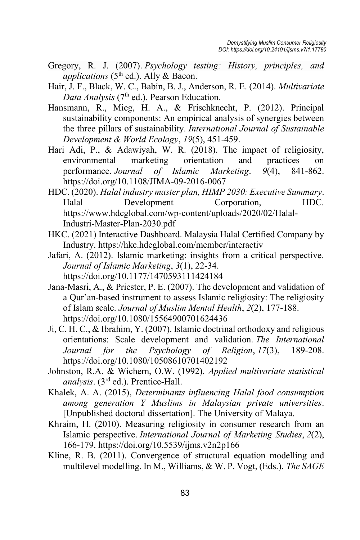- Gregory, R. J. (2007). *Psychology testing: History, principles, and applications* ( $5<sup>th</sup>$  ed.). Ally & Bacon.
- Hair, J. F., Black, W. C., Babin, B. J., Anderson, R. E. (2014). *Multivariate*  Data Analysis (7<sup>th</sup> ed.). Pearson Education.
- Hansmann, R., Mieg, H. A., & Frischknecht, P. (2012). Principal sustainability components: An empirical analysis of synergies between the three pillars of sustainability. *International Journal of Sustainable Development & World Ecology*, *19*(5), 451-459.
- Hari Adi, P., & Adawiyah, W. R. (2018). The impact of religiosity, environmental marketing orientation and practices on performance. *Journal of Islamic Marketing*. *9*(4), 841-862. https://doi.org/10.1108/JIMA-09-2016-0067
- HDC. (2020). *Halal industry master plan, HIMP 2030: Executive Summary*. Halal Development Corporation, HDC. https://www.hdcglobal.com/wp-content/uploads/2020/02/Halal-Industri-Master-Plan-2030.pdf
- HKC. (2021) Interactive Dashboard. Malaysia Halal Certified Company by Industry. https://hkc.hdcglobal.com/member/interactiv
- Jafari, A. (2012). Islamic marketing: insights from a critical perspective. *Journal of Islamic Marketing*, *3*(1), 22-34. https://doi.org/10.1177/1470593111424184
- Jana-Masri, A., & Priester, P. E. (2007). The development and validation of a Qur'an-based instrument to assess Islamic religiosity: The religiosity of Islam scale. *Journal of Muslim Mental Health*, *2*(2), 177-188. https://doi.org/10.1080/15564900701624436
- Ji, C. H. C., & Ibrahim, Y. (2007). Islamic doctrinal orthodoxy and religious orientations: Scale development and validation. *The International Journal for the Psychology of Religion*, *17*(3), 189-208. https://doi.org/10.1080/10508610701402192
- Johnston, R.A. & Wichern, O.W. (1992). *Applied multivariate statistical analysis*. (3rd ed.). Prentice-Hall.
- Khalek, A. A. (2015), *Determinants influencing Halal food consumption among generation Y Muslims in Malaysian private universities*. [Unpublished doctoral dissertation]. The University of Malaya.
- Khraim, H. (2010). Measuring religiosity in consumer research from an Islamic perspective. *International Journal of Marketing Studies*, *2*(2), 166-179. https://doi.org/10.5539/ijms.v2n2p166
- Kline, R. B. (2011). Convergence of structural equation modelling and multilevel modelling. In M., Williams, & W. P. Vogt, (Eds.). *The SAGE*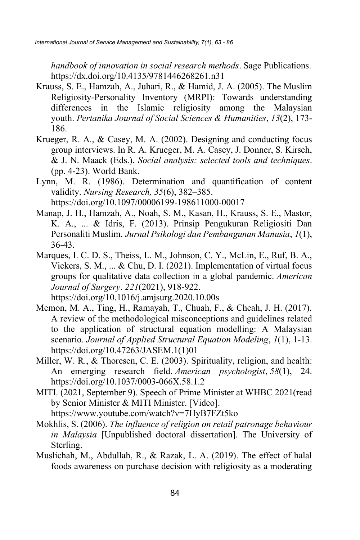*handbook of innovation in social research methods*. Sage Publications. https://dx.doi.org/10.4135/9781446268261.n31

- Krauss, S. E., Hamzah, A., Juhari, R., & Hamid, J. A. (2005). The Muslim Religiosity-Personality Inventory (MRPI): Towards understanding differences in the Islamic religiosity among the Malaysian youth. *Pertanika Journal of Social Sciences & Humanities*, *13*(2), 173- 186.
- Krueger, R. A., & Casey, M. A. (2002). Designing and conducting focus group interviews. In R. A. Krueger, M. A. Casey, J. Donner, S. Kirsch, & J. N. Maack (Eds.). *Social analysis: selected tools and techniques*. (pp. 4-23). World Bank.
- Lynn, M. R. (1986). Determination and quantification of content validity. *Nursing Research, 35*(6), 382–385. https://doi.org/10.1097/00006199-198611000-00017
- Manap, J. H., Hamzah, A., Noah, S. M., Kasan, H., Krauss, S. E., Mastor, K. A., ... & Idris, F. (2013). Prinsip Pengukuran Religiositi Dan Personaliti Muslim. *Jurnal Psikologi dan Pembangunan Manusia*, *1*(1), 36-43.
- Marques, I. C. D. S., Theiss, L. M., Johnson, C. Y., McLin, E., Ruf, B. A., Vickers, S. M., ... & Chu, D. I. (2021). Implementation of virtual focus groups for qualitative data collection in a global pandemic. *American Journal of Surgery*. *221*(2021), 918-922.

```
https://doi.org/10.1016/j.amjsurg.2020.10.00s
```
- Memon, M. A., Ting, H., Ramayah, T., Chuah, F., & Cheah, J. H. (2017). A review of the methodological misconceptions and guidelines related to the application of structural equation modelling: A Malaysian scenario. *Journal of Applied Structural Equation Modeling*, *1*(1), 1-13. https://doi.org/10.47263/JASEM.1(1)01
- Miller, W. R., & Thoresen, C. E. (2003). Spirituality, religion, and health: An emerging research field. *American psychologist*, *58*(1), 24. https://doi.org/10.1037/0003-066X.58.1.2
- MITI. (2021, September 9). Speech of Prime Minister at WHBC 2021(read by Senior Minister & MITI Minister. [Video].

https://www.youtube.com/watch?v=7HyB7FZt5ko

- Mokhlis, S. (2006). *The influence of religion on retail patronage behaviour in Malaysia* [Unpublished doctoral dissertation]. The University of Sterling.
- Muslichah, M., Abdullah, R., & Razak, L. A. (2019). The effect of halal foods awareness on purchase decision with religiosity as a moderating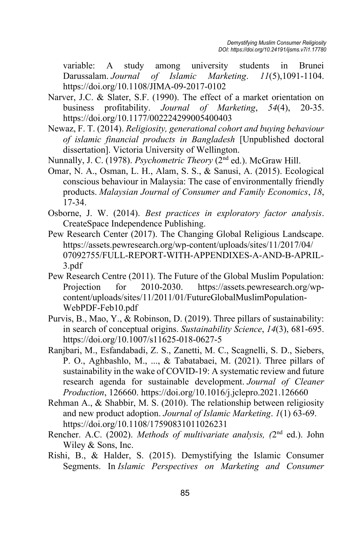variable: A study among university students in Brunei Darussalam. *Journal of Islamic Marketing*. *11*(5),1091-1104. https://doi.org/10.1108/JIMA-09-2017-0102

- Narver, J.C. & Slater, S.F. (1990). The effect of a market orientation on business profitability. *Journal of Marketing*, *54*(4), 20-35. https://doi.org/10.1177/002224299005400403
- Newaz, F. T. (2014). *Religiosity, generational cohort and buying behaviour of islamic financial products in Bangladesh* [Unpublished doctoral dissertation]. Victoria University of Wellington.
- Nunnally, J. C. (1978). *Psychometric Theory* (2nd ed.). McGraw Hill.
- Omar, N. A., Osman, L. H., Alam, S. S., & Sanusi, A. (2015). Ecological conscious behaviour in Malaysia: The case of environmentally friendly products. *Malaysian Journal of Consumer and Family Economics*, *18*, 17-34.
- Osborne, J. W. (2014). *Best practices in exploratory factor analysis*. CreateSpace Independence Publishing.
- Pew Research Center (2017). The Changing Global Religious Landscape. https://assets.pewresearch.org/wp-content/uploads/sites/11/2017/04/ 07092755/FULL-REPORT-WITH-APPENDIXES-A-AND-B-APRIL-3.pdf
- Pew Research Centre (2011). The Future of the Global Muslim Population: Projection for 2010-2030. https://assets.pewresearch.org/wpcontent/uploads/sites/11/2011/01/FutureGlobalMuslimPopulation-WebPDF-Feb10.pdf
- Purvis, B., Mao, Y., & Robinson, D. (2019). Three pillars of sustainability: in search of conceptual origins. *Sustainability Science*, *14*(3), 681-695. https://doi.org/10.1007/s11625-018-0627-5
- Ranjbari, M., Esfandabadi, Z. S., Zanetti, M. C., Scagnelli, S. D., Siebers, P. O., Aghbashlo, M., ..., & Tabatabaei, M. (2021). Three pillars of sustainability in the wake of COVID-19: A systematic review and future research agenda for sustainable development. *Journal of Cleaner Production*, 126660. https://doi.org/10.1016/j.jclepro.2021.126660
- Rehman A., & Shabbir, M. S. (2010). The relationship between religiosity and new product adoption. *Journal of Islamic Marketing*. *1*(1) 63-69. https://doi.org/10.1108/17590831011026231
- Rencher. A.C. (2002). *Methods of multivariate analysis, (*2nd ed.). John Wiley & Sons, Inc.
- Rishi, B., & Halder, S. (2015). Demystifying the Islamic Consumer Segments. In *Islamic Perspectives on Marketing and Consumer*